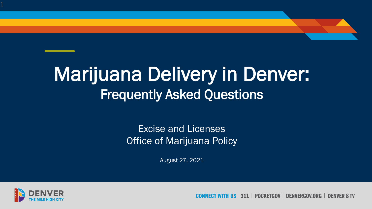# Marijuana Delivery in Denver: Frequently Asked Questions

## Excise and Licenses **Office of Marijuana Policy**

August 27, 2021



**POCKFTGOV** DENVERGOV.ORG **DENVER 8 TV**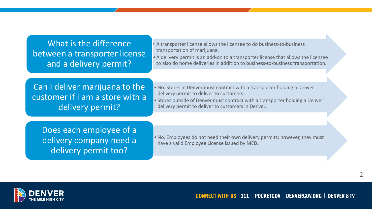What is the difference between a transporter license and a delivery permit?

• A transporter license allows the licensee to do business-to-business transportation of marijuana.

• A delivery permit is an add-on to a transporter license that allows the licensee to also do home deliveries in addition to business-to-business transportation.

Can I deliver marijuana to the customer if I am a store with a delivery permit?

•No. Stores in Denver must contract with a transporter holding a Denver delivery permit to deliver to customers.

• Stores outside of Denver must contract with a transporter holding a Denver delivery permit to deliver to customers in Denver.

Does each employee of a delivery company need a delivery permit too?

•No. Employees do not need their own delivery permits; however, they must have a valid Employee License issued by MED.

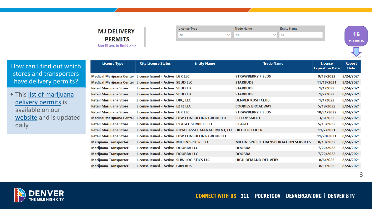## **MJ DELIVERY PERMITS** Use filters to limit >>>

| License Type | <b>Trade Name</b> | <b>Entity Name</b> |  |
|--------------|-------------------|--------------------|--|
| All          | All               | All                |  |
|              |                   |                    |  |



How can I find out which stores and transporters have delivery permits?

• This list of marijuana delivery permits is available on our [website](https://www.denvergov.org/Government/Agencies-Departments-Offices/Business-Licensing/Business-Licenses/Marijuana-Licenses/Delivery-Permit) and is updated daily.

| <b>License Type</b>                                       | <b>City License Status</b>                   | <b>Entity Name</b>                                                 | <b>Trade Name</b>                            | <b>License</b><br><b>Expiration Date</b> | <b>Report</b><br><b>Date</b> |
|-----------------------------------------------------------|----------------------------------------------|--------------------------------------------------------------------|----------------------------------------------|------------------------------------------|------------------------------|
| Medical Marijuana Center License Issued - Active LGK LLC  |                                              |                                                                    | <b>STRAWBERRY FIELDS</b>                     | 9/18/2022                                | 8/24/2021                    |
| Medical Marijuana Center License Issued - Active SBUD LLC |                                              |                                                                    | <b>STARBUDS</b>                              | 11/18/2021                               | 8/24/2021                    |
| <b>Retail Marijuana Store</b>                             | License Issued - Active SBUD LLC             |                                                                    | <b>STARBUDS</b>                              | 1/1/2022                                 | 8/24/2021                    |
| <b>Retail Marijuana Store</b>                             | License Issued - Active SBUD LLC             |                                                                    | <b>STARBUDS</b>                              | 1/7/2022                                 | 8/24/2021                    |
| Retail Marijuana Store                                    | License Issued - Active DKC, LLC             |                                                                    | <b>DENVER KUSH CLUB</b>                      | 1/1/2022                                 | 8/24/2021                    |
| <b>Retail Marijuana Store</b>                             | License Issued - Active E2T2 LLC             |                                                                    | <b>COOKIES BROADWAY</b>                      | 5/19/2022                                | 8/24/2021                    |
| <b>Retail Marijuana Store</b>                             | License Issued - Active LGK LLC              |                                                                    | <b>STRAWBERRY FIELDS</b>                     | 10/31/2022                               | 8/24/2021                    |
| <b>Medical Marijuana Center</b>                           |                                              | License Issued - Active LBW CONSULTING GROUP, LLC                  | <b>SEED &amp; SMITH</b>                      | 3/8/2022                                 | 8/24/2021                    |
| Retail Marijuana Store                                    | License Issued - Active L'EAGLE SERVICES LLC |                                                                    | <b>L'EAGLE</b>                               | 5/13/2022                                | 8/24/2021                    |
| Retail Marijuana Store                                    |                                              | License Issued - Active ROYAL ASSET MANAGEMENT, LLC DIEGO PELLICER |                                              | 11/7/2021                                | 8/24/2021                    |
| Retail Marijuana Store                                    |                                              | License Issued - Active LBW CONSULTING GROUP LLC                   |                                              | 11/20/2021                               | 8/24/2021                    |
| Marijuana Transporter                                     | License Issued - Active MILLINISPHERE LLC    |                                                                    | <b>MILLINISPHERE TRANSPORTATION SERVICES</b> | 8/19/2022                                | 8/24/2021                    |
| <b>Marijuana Transporter</b>                              | License Issued - Active DOOBBA LLC           |                                                                    | <b>DOOBBA</b>                                | 7/22/2022                                | 8/24/2021                    |
| Marijuana Transporter                                     | License Issued - Active DOOBBA LLC           |                                                                    | <b>DOOBBA</b>                                | 7/22/2022                                | 8/24/2021                    |
| Marijuana Transporter                                     | License Issued - Active SHW LOGISTICS LLC    |                                                                    | <b>HIGH DEMAND DELIVERY</b>                  | 8/6/2022                                 | 8/24/2021                    |
| Marijuana Transporter                                     | License Issued - Active GRN BUS              |                                                                    |                                              | 8/3/2022                                 | 8/24/2021                    |



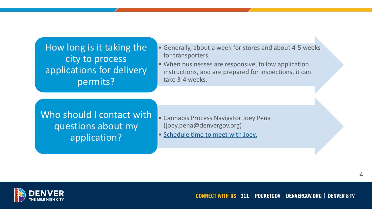How long is it taking the city to process applications for delivery permits?

- Generally, about a week for stores and about 4-5 weeks for transporters.
- When businesses are responsive, follow application instructions, and are prepared for inspections, it can take 3-4 weeks.

Who should I contact with questions about my application?

- Cannabis Process Navigator Joey Pena (joey.pena@denvergov.org)
- [Schedule time to meet with Joey.](https://outlook.office365.com/owa/calendar/JoeyPenaCannabisProcessNavigator@denvercity.onmicrosoft.com/bookings/)

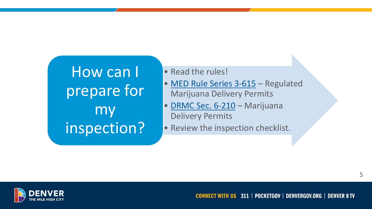How can I prepare for my inspection?

• Read the rules!

- [MED Rule Series 3-615](https://sbg.colorado.gov/med-rules) Regulated Marijuana Delivery Permits
- [DRMC Sec. 6-210](https://library.municode.com/co/denver/codes/code_of_ordinances?nodeId=TITIIREMUCO_CH6ALBECA_ARTVDEMACO_S6-210MADEPE) Marijuana Delivery Permits
- Review the inspection checklist.

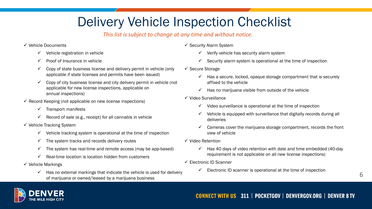## Delivery Vehicle Inspection Checklist

## *This list is subject to change at any time and without notice.*

### ✓ Vehicle Documents

- $\checkmark$  Vehicle registration in vehicle
- $\checkmark$  Proof of Insurance in vehicle
- $\checkmark$  Copy of state business license and delivery permit in vehicle (only applicable if state licenses and permits have been issued)
- $\checkmark$  Copy of city business license and city delivery permit in vehicle (not applicable for new license inspections, applicable on annual inspections)
- $\checkmark$  Record Keeping (not applicable on new license inspections)
	- $\checkmark$  Transport manifests
	- Record of sale (e.g., receipt) for all cannabis in vehicle
- $\checkmark$  Vehicle Tracking System
	- $\checkmark$  Vehicle tracking system is operational at the time of inspection
	- $\checkmark$  The system tracks and records delivery routes
	- $\checkmark$  The system has real-time and remote access (may be app-based)
	- Real-time location is location hidden from customers
- $\checkmark$  Vehicle Markings
	- $\checkmark$  Has no external markings that indicate the vehicle is used for delivery of marijuana or owned/leased by a marijuana business
- ✓ Security Alarm System
	- Verify vehicle has security alarm system
	- Security alarm system is operational at the time of inspection
- ✓ Secure Storage
	- Has a secure, locked, opaque storage compartment that is securely affixed to the vehicle
	- Has no marijuana visible from outside of the vehicle
- ✓ Video Surveillance
	- $\checkmark$  Video surveillance is operational at the time of inspection
	- Vehicle is equipped with surveillance that digitally records during all deliveries
	- Cameras cover the marijuana storage compartment, records the front view of vehicle
- ✓ Video Retention
	- $\checkmark$  Has 40 days of video retention with date and time embedded (40-day requirement is not applicable on all new license inspections)
- ✓ Electronic ID Scanner
	- Electronic ID scanner is operational at the time of inspection

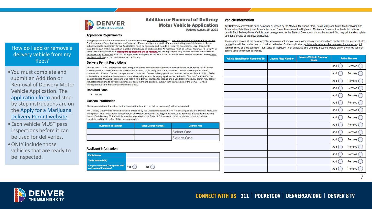

### **Addition or Removal of Delivery Motor Vehicle Application** Updated August 15, 2021

#### **Application Requirements**

How do I add or remove a delivery vehicle from my fleet?

•You must complete and submit an Addition or Removal of Delivery Motor Vehicle Application. The [application form](https://www.denvergov.org/files/assets/public/business-licensing/documents/mj_add_remove_delivery_vehicle.pdf) and stepby -step instructions are on [the Apply for a Marijuana](https://www.denvergov.org/Government/Agencies-Departments-Offices/Business-Licensing/Business-Licenses/Marijuana-Licenses/Delivery-Permit)  Delivery Permit website.

- •Each vehicle MUST pass inspections before it can be used for deliveries.
- ONLY include those vehicles that are ready to be inspected.

A single application form may be used for multiple licenses at a single address and with identical controlling beneficial owners. For licenses at different addresses and/or under different entity names with different controlling beneficial owners, please submit separate application forms. Applications must be complete and include all required documents. Legal documents included as part of this application must be properly signed and executed. All materials must be legible. You must fill in "N/A" in fields that are not applicable. Incomplete applications will be rejected. On the application, only include vehicles that are ready for inspection. All vehicles listed on the application must pass an inspection with an Excise and Licenses inspector before any of the listed vehicles can be used to conduct deliveries.

#### **Delivery Permit Restrictions**

Prior to July 1, 2024, medical and retail marijuana stores cannot conduct their own deliveries and must have a valid Denver delivery permit to accept orders for delivery. Medical and retail marijuana stores with valid Denver delivery permits must contract with licensed Denver transporters who have valid Denver delivery permits to conduct deliveries. Prior to July 1, 2024, only medical or retail marijuana transporters who qualify as a social equity applicant as defined in Chapter 6, Article V of the Denver Revised Municipal Code and who hold a valid Denver transporter license and a valid Denver delivery permit may deliver regulated marijuana to private residences of customers and patients, subject to the provisions of the Denver Revised Municipal Code and the Colorado Marijuana Code.

#### **Required Fees**

 $\bullet$  No fee

#### **License Information**

Please provide the information for the license(s) with which the delivery vehicle(s) will be associated

Any Delivery Motor Vehicle must be owned or leased by the Medical Marijuana Store, Retail Marijuana Store, Medical Marijuana Transporter, Retail Marijuana Transporter, or an Owner Licensee of the Regulated Marijuana Business that holds the delivery permit. Each Delivery Motor Vehicle must be registered in the State of Colorado and must be insured. You may print and complete additional copies of this page as needed.

| <b>Business File Number</b> | <b>State License Number</b> | <b>License Type</b> |  |  |
|-----------------------------|-----------------------------|---------------------|--|--|
|                             |                             | <b>Select One</b>   |  |  |
|                             |                             | <b>Select One</b>   |  |  |

#### **Applicant Information**

| <b>Entity Name</b>                                           |     |  |
|--------------------------------------------------------------|-----|--|
| <b>Trade Name (DBA)</b>                                      |     |  |
| Are you a licensed Transporter with<br>no Licensed Premises? | Yes |  |

#### **Vehicle Information**

Any Delivery Motor Vehicle must be owned or leased by the Medical Marijuana Store, Retail Marijuana Store, Medical Marijuana Transporter, Retail Marijuana Transporter, or an Owner Licensee of the Regulated Marijuana Business that holds the delivery permit. Each Delivery Motor Vehicle must be registered in the State of Colorado and must be insured. You may print and complete additional copies of this page as needed.

The owner or lessee of the delivery motor vehicles must complete and pass all required inspections for the delivery motor vehicles before the vehicles can be used to conduct deliveries. On the application, only include vehicles that are ready for inspection. All vehicles listed on the application must pass an inspection with an Excise and Licenses inspector before any of the listed vehicles can be used to conduct deliveries.

| <b>Vehicle Identification Number (VIN)</b> | <b>License Plate Number</b> | Name of Vehicle Owner or<br>Lessee | <b>Add or Remove</b> |          |
|--------------------------------------------|-----------------------------|------------------------------------|----------------------|----------|
|                                            |                             |                                    | Add                  | Remove ( |
|                                            |                             |                                    | Add                  | Remove   |
|                                            |                             |                                    | Add                  | Remove   |
|                                            |                             |                                    | Add                  | Remove   |
|                                            |                             |                                    | Add                  | Remove   |
|                                            |                             |                                    | Add                  | Remove   |
|                                            |                             |                                    | Add                  | Remove   |
|                                            |                             |                                    | Add                  | Remove   |
|                                            |                             |                                    | Add                  | Remove   |
|                                            |                             |                                    | Add                  | Remove   |
|                                            |                             |                                    | Add                  | Remove   |
|                                            |                             |                                    | Add                  | Remove   |
|                                            |                             |                                    | Add                  | Remove   |
|                                            |                             |                                    | Add                  | Remove ( |
|                                            |                             |                                    | Add                  | Remove ( |

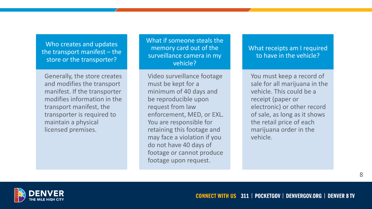Who creates and updates the transport manifest – the store or the transporter?

Generally, the store creates and modifies the transport manifest. If the transporter modifies information in the transport manifest, the transporter is required to maintain a physical licensed premises.

What if someone steals the memory card out of the surveillance camera in my vehicle?

Video surveillance footage must be kept for a minimum of 40 days and be reproducible upon request from law enforcement, MED, or EXL. You are responsible for retaining this footage and may face a violation if you do not have 40 days of footage or cannot produce footage upon request.

What receipts am I required to have in the vehicle?

You must keep a record of sale for all marijuana in the vehicle. This could be a receipt (paper or electronic) or other record of sale, as long as it shows the retail price of each marijuana order in the vehicle.

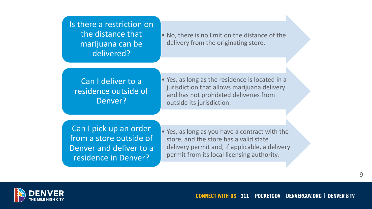Is there a restriction on the distance that marijuana can be delivered?

• No, there is no limit on the distance of the delivery from the originating store.

Can I deliver to a residence outside of Denver?

• Yes, as long as the residence is located in a jurisdiction that allows marijuana delivery and has not prohibited deliveries from outside its jurisdiction.

Can I pick up an order from a store outside of Denver and deliver to a residence in Denver?

• Yes, as long as you have a contract with the store, and the store has a valid state delivery permit and, if applicable, a delivery permit from its local licensing authority.

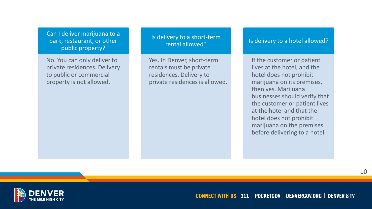Can I deliver marijuana to a park, restaurant, or other public property?

No. You can only deliver to private residences. Delivery to public or commercial property is not allowed.

## Is delivery to a short-term rental allowed?

Yes. In Denver, short-term rentals must be private residences. Delivery to private residences is allowed.

### Is delivery to a hotel allowed?

If the customer or patient lives at the hotel, and the hotel does not prohibit marijuana on its premises, then yes. Marijuana businesses should verify that the customer or patient lives at the hotel and that the hotel does not prohibit marijuana on the premises before delivering to a hotel.

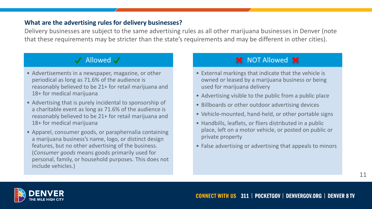## **What are the advertising rules for delivery businesses?**

Delivery businesses are subject to the same advertising rules as all other marijuana businesses in Denver (note that these requirements may be stricter than the state's requirements and may be different in other cities).

## $\sqrt{\phantom{a}}$  Allowed  $\sqrt{\phantom{a}}$

- Advertisements in a newspaper, magazine, or other periodical as long as 71.6% of the audience is reasonably believed to be 21+ for retail marijuana and 18+ for medical marijuana
- Advertising that is purely incidental to sponsorship of a charitable event as long as 71.6% of the audience is reasonably believed to be 21+ for retail marijuana and 18+ for medical marijuana
- Apparel, consumer goods, or paraphernalia containing a marijuana business's name, logo, or distinct design features, but no other advertising of the business. (*Consumer goods* means goods primarily used for personal, family, or household purposes. This does not include vehicles.)

## **X** NOT Allowed X

- External markings that indicate that the vehicle is owned or leased by a marijuana business or being used for marijuana delivery
- Advertising visible to the public from a public place
- Billboards or other outdoor advertising devices
- Vehicle-mounted, hand-held, or other portable signs
- Handbills, leaflets, or fliers distributed in a public place, left on a motor vehicle, or posted on public or private property
- False advertising or advertising that appeals to minors

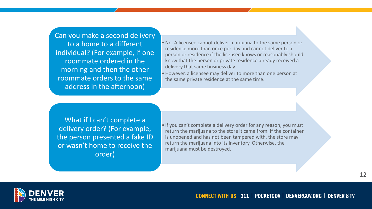Can you make a second delivery to a home to a different individual? (For example, if one roommate ordered in the morning and then the other roommate orders to the same address in the afternoon)

•No. A licensee cannot deliver marijuana to the same person or residence more than once per day and cannot deliver to a person or residence if the licensee knows or reasonably should know that the person or private residence already received a delivery that same business day.

•However, a licensee may deliver to more than one person at the same private residence at the same time.

What if I can't complete a delivery order? (For example, the person presented a fake ID or wasn't home to receive the order)

• If you can't complete a delivery order for any reason, you must return the marijuana to the store it came from. If the container is unopened and has not been tampered with, the store may return the marijuana into its inventory. Otherwise, the marijuana must be destroyed.